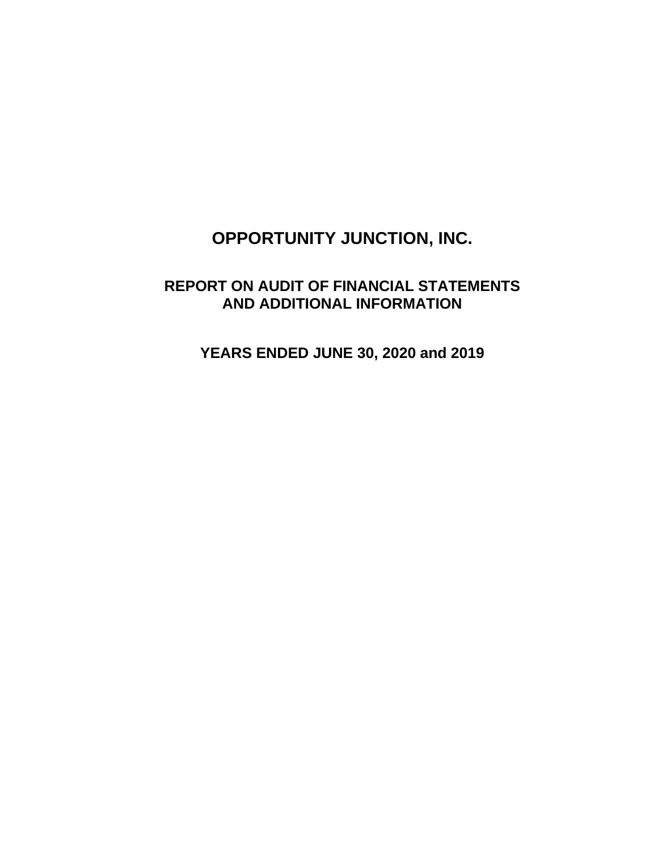# **REPORT ON AUDIT OF FINANCIAL STATEMENTS AND ADDITIONAL INFORMATION**

**YEARS ENDED JUNE 30, 2020 and 2019**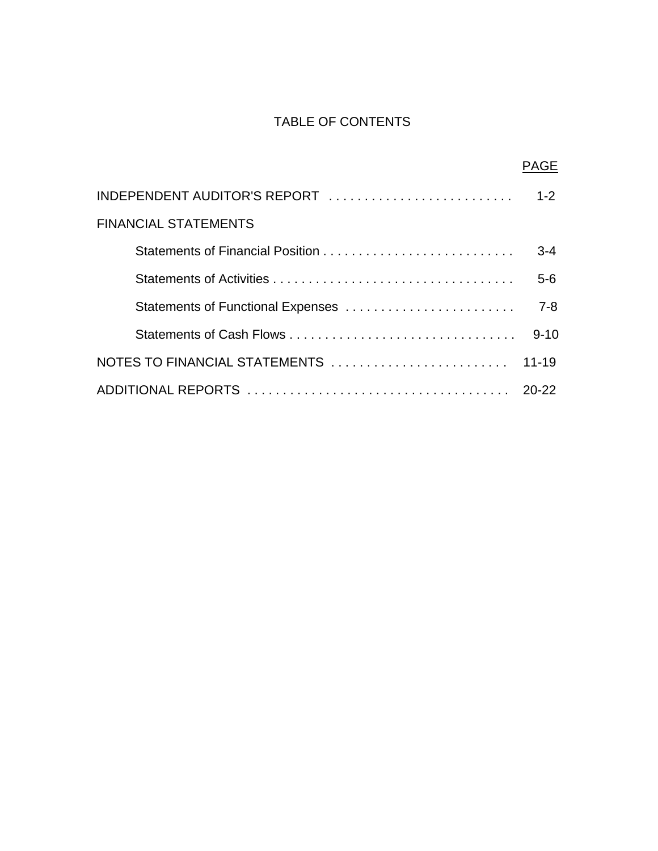## TABLE OF CONTENTS

|                                   | <b>PAGE</b> |
|-----------------------------------|-------------|
|                                   | $1-2$       |
| <b>FINANCIAL STATEMENTS</b>       |             |
| Statements of Financial Position  | $3-4$       |
|                                   | $5-6$       |
| Statements of Functional Expenses | $7 - 8$     |
|                                   | $9 - 10$    |
| NOTES TO FINANCIAL STATEMENTS     | $11 - 19$   |
|                                   |             |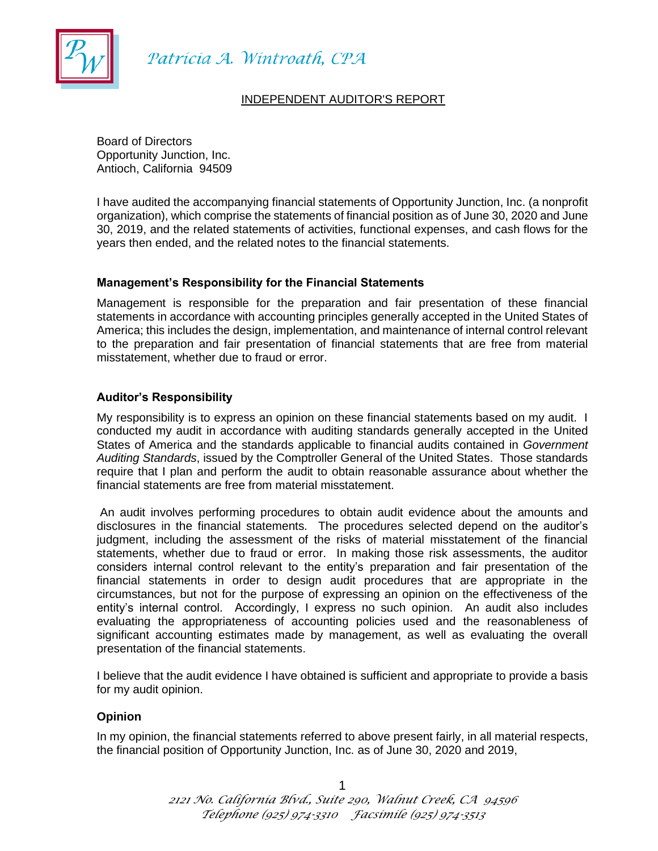

Patrícia A. Wintroath, CPA

#### INDEPENDENT AUDITOR'S REPORT

Board of Directors Opportunity Junction, Inc. Antioch, California 94509

I have audited the accompanying financial statements of Opportunity Junction, Inc. (a nonprofit organization), which comprise the statements of financial position as of June 30, 2020 and June 30, 2019, and the related statements of activities, functional expenses, and cash flows for the years then ended, and the related notes to the financial statements.

#### **Management's Responsibility for the Financial Statements**

Management is responsible for the preparation and fair presentation of these financial statements in accordance with accounting principles generally accepted in the United States of America; this includes the design, implementation, and maintenance of internal control relevant to the preparation and fair presentation of financial statements that are free from material misstatement, whether due to fraud or error.

#### **Auditor's Responsibility**

My responsibility is to express an opinion on these financial statements based on my audit. I conducted my audit in accordance with auditing standards generally accepted in the United States of America and the standards applicable to financial audits contained in *Government Auditing Standards*, issued by the Comptroller General of the United States. Those standards require that I plan and perform the audit to obtain reasonable assurance about whether the financial statements are free from material misstatement.

An audit involves performing procedures to obtain audit evidence about the amounts and disclosures in the financial statements. The procedures selected depend on the auditor's judgment, including the assessment of the risks of material misstatement of the financial statements, whether due to fraud or error. In making those risk assessments, the auditor considers internal control relevant to the entity's preparation and fair presentation of the financial statements in order to design audit procedures that are appropriate in the circumstances, but not for the purpose of expressing an opinion on the effectiveness of the entity's internal control. Accordingly, I express no such opinion. An audit also includes evaluating the appropriateness of accounting policies used and the reasonableness of significant accounting estimates made by management, as well as evaluating the overall presentation of the financial statements.

I believe that the audit evidence I have obtained is sufficient and appropriate to provide a basis for my audit opinion.

#### **Opinion**

In my opinion, the financial statements referred to above present fairly, in all material respects, the financial position of Opportunity Junction, Inc. as of June 30, 2020 and 2019,

> 1 *2121 No. California Blvd., Suite 290, Walnut Creek, CA 94596 Telephone (925) 974-3310 Facsimile (925) 974-3513*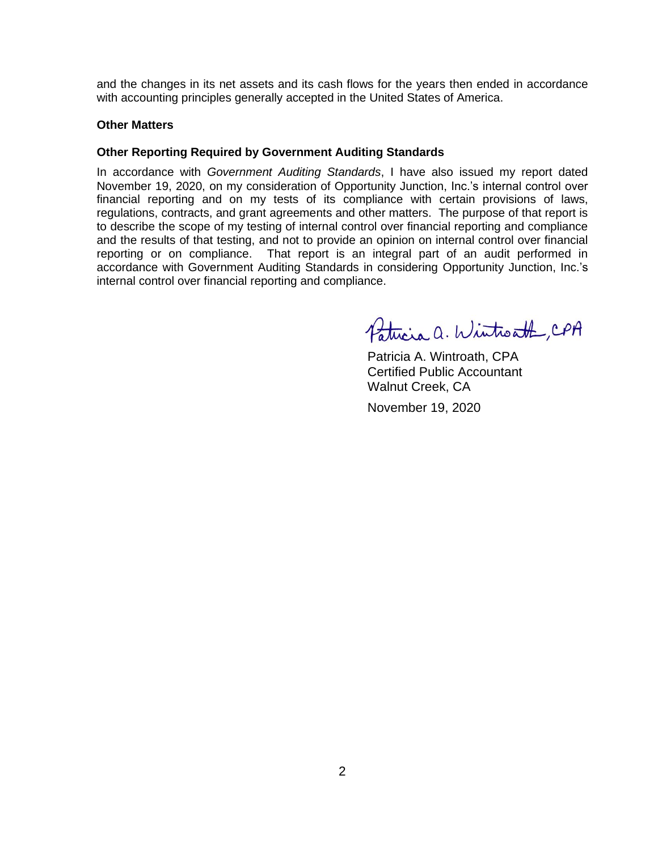and the changes in its net assets and its cash flows for the years then ended in accordance with accounting principles generally accepted in the United States of America.

#### **Other Matters**

#### **Other Reporting Required by Government Auditing Standards**

In accordance with *Government Auditing Standards*, I have also issued my report dated November 19, 2020, on my consideration of Opportunity Junction, Inc.'s internal control over financial reporting and on my tests of its compliance with certain provisions of laws, regulations, contracts, and grant agreements and other matters. The purpose of that report is to describe the scope of my testing of internal control over financial reporting and compliance and the results of that testing, and not to provide an opinion on internal control over financial reporting or on compliance. That report is an integral part of an audit performed in accordance with Government Auditing Standards in considering Opportunity Junction, Inc.'s internal control over financial reporting and compliance.

Patricia a. Wintroath, CPA

Patricia A. Wintroath, CPA Certified Public Accountant Walnut Creek, CA

November 19, 2020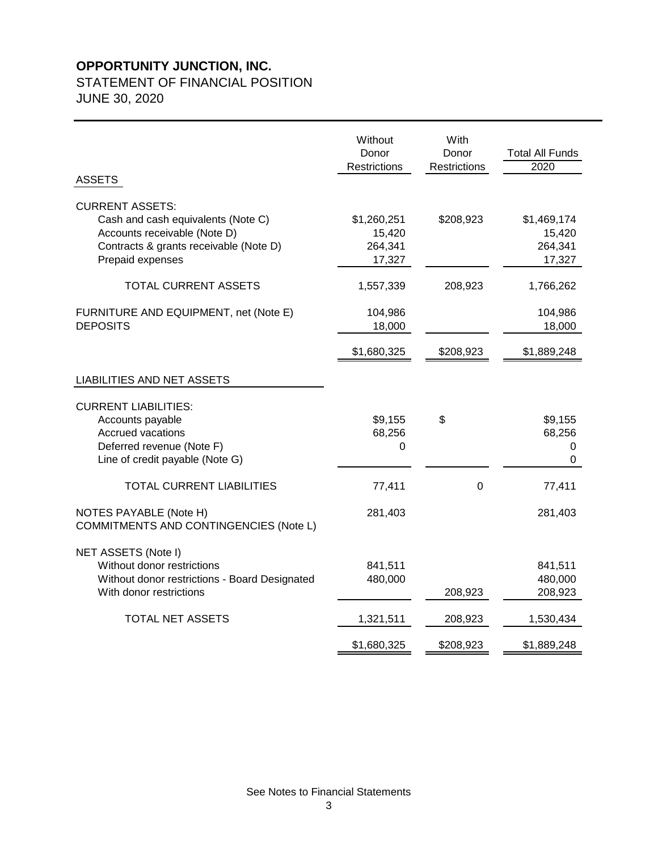### STATEMENT OF FINANCIAL POSITION

JUNE 30, 2020

| <b>ASSETS</b>                                                                                                                                              | Without<br>Donor<br>Restrictions           | With<br>Donor<br>Restrictions | <b>Total All Funds</b><br>2020             |
|------------------------------------------------------------------------------------------------------------------------------------------------------------|--------------------------------------------|-------------------------------|--------------------------------------------|
| <b>CURRENT ASSETS:</b><br>Cash and cash equivalents (Note C)<br>Accounts receivable (Note D)<br>Contracts & grants receivable (Note D)<br>Prepaid expenses | \$1,260,251<br>15,420<br>264,341<br>17,327 | \$208,923                     | \$1,469,174<br>15,420<br>264,341<br>17,327 |
| <b>TOTAL CURRENT ASSETS</b>                                                                                                                                | 1,557,339                                  | 208,923                       | 1,766,262                                  |
| FURNITURE AND EQUIPMENT, net (Note E)<br><b>DEPOSITS</b>                                                                                                   | 104,986<br>18,000                          |                               | 104,986<br>18,000                          |
|                                                                                                                                                            | \$1,680,325                                | \$208,923                     | \$1,889,248                                |
| <b>LIABILITIES AND NET ASSETS</b>                                                                                                                          |                                            |                               |                                            |
| <b>CURRENT LIABILITIES:</b><br>Accounts payable<br>Accrued vacations<br>Deferred revenue (Note F)<br>Line of credit payable (Note G)                       | \$9,155<br>68,256<br>0                     | \$                            | \$9,155<br>68,256<br>0<br>0                |
| <b>TOTAL CURRENT LIABILITIES</b>                                                                                                                           | 77,411                                     | 0                             | 77,411                                     |
| NOTES PAYABLE (Note H)<br>COMMITMENTS AND CONTINGENCIES (Note L)                                                                                           | 281,403                                    |                               | 281,403                                    |
| NET ASSETS (Note I)<br>Without donor restrictions<br>Without donor restrictions - Board Designated<br>With donor restrictions                              | 841,511<br>480,000                         | 208,923                       | 841,511<br>480,000<br>208,923              |
| <b>TOTAL NET ASSETS</b>                                                                                                                                    | 1,321,511                                  | 208,923                       | 1,530,434                                  |
|                                                                                                                                                            | \$1,680,325                                | \$208,923                     | \$1,889,248                                |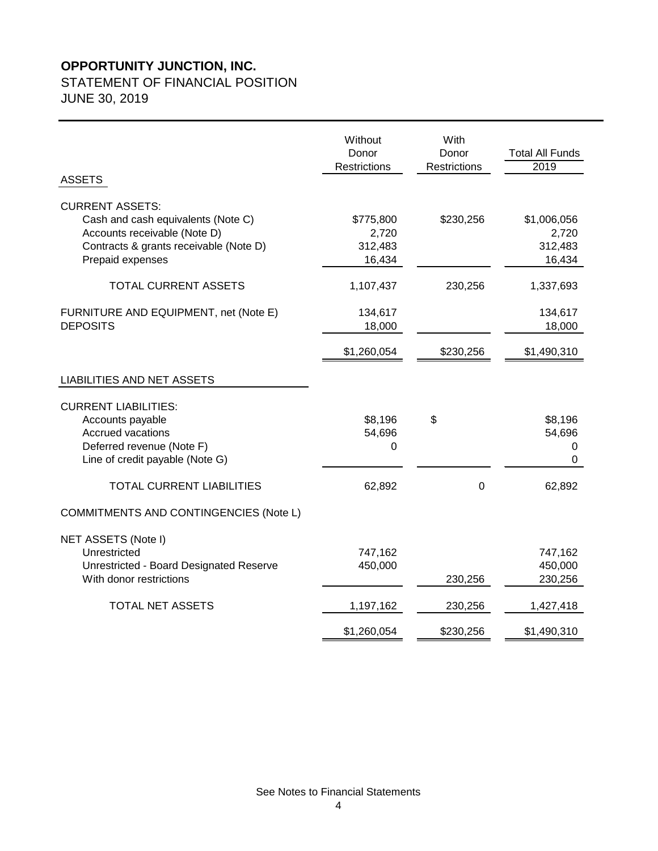# STATEMENT OF FINANCIAL POSITION

JUNE 30, 2019

| <b>ASSETS</b>                                                                                                                                              | Without<br>Donor<br>Restrictions        | With<br>Donor<br>Restrictions | <b>Total All Funds</b><br>2019            |
|------------------------------------------------------------------------------------------------------------------------------------------------------------|-----------------------------------------|-------------------------------|-------------------------------------------|
| <b>CURRENT ASSETS:</b><br>Cash and cash equivalents (Note C)<br>Accounts receivable (Note D)<br>Contracts & grants receivable (Note D)<br>Prepaid expenses | \$775,800<br>2,720<br>312,483<br>16,434 | \$230,256                     | \$1,006,056<br>2,720<br>312,483<br>16,434 |
| <b>TOTAL CURRENT ASSETS</b>                                                                                                                                | 1,107,437                               | 230,256                       | 1,337,693                                 |
| FURNITURE AND EQUIPMENT, net (Note E)<br><b>DEPOSITS</b>                                                                                                   | 134,617<br>18,000                       |                               | 134,617<br>18,000                         |
|                                                                                                                                                            | \$1,260,054                             | \$230,256                     | \$1,490,310                               |
| <b>LIABILITIES AND NET ASSETS</b>                                                                                                                          |                                         |                               |                                           |
| <b>CURRENT LIABILITIES:</b><br>Accounts payable<br>Accrued vacations<br>Deferred revenue (Note F)<br>Line of credit payable (Note G)                       | \$8,196<br>54,696<br>0                  | \$                            | \$8,196<br>54,696<br>$\mathbf 0$<br>0     |
| <b>TOTAL CURRENT LIABILITIES</b>                                                                                                                           | 62,892                                  | 0                             | 62,892                                    |
| COMMITMENTS AND CONTINGENCIES (Note L)                                                                                                                     |                                         |                               |                                           |
| NET ASSETS (Note I)<br>Unrestricted<br>Unrestricted - Board Designated Reserve<br>With donor restrictions                                                  | 747,162<br>450,000                      | 230,256                       | 747,162<br>450,000<br>230,256             |
| <b>TOTAL NET ASSETS</b>                                                                                                                                    | 1,197,162                               | 230,256                       | 1,427,418                                 |
|                                                                                                                                                            | \$1,260,054                             | \$230,256                     | \$1,490,310                               |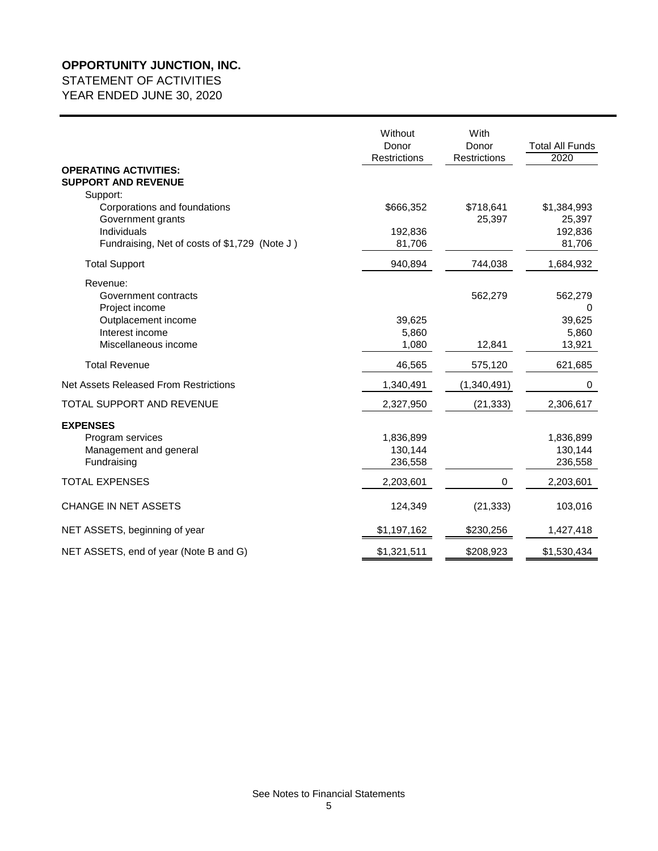# STATEMENT OF ACTIVITIES

| <b>OPERATING ACTIVITIES:</b><br><b>SUPPORT AND REVENUE</b><br>Support:<br>Corporations and foundations<br>Government grants<br>Individuals<br>Fundraising, Net of costs of \$1,729 (Note J) | Without<br>Donor<br><b>Restrictions</b><br>\$666,352<br>192,836<br>81,706 | With<br>Donor<br><b>Restrictions</b><br>\$718,641<br>25,397 | <b>Total All Funds</b><br>2020<br>\$1,384,993<br>25,397<br>192,836<br>81,706 |
|---------------------------------------------------------------------------------------------------------------------------------------------------------------------------------------------|---------------------------------------------------------------------------|-------------------------------------------------------------|------------------------------------------------------------------------------|
| <b>Total Support</b>                                                                                                                                                                        | 940,894                                                                   | 744,038                                                     | 1,684,932                                                                    |
| Revenue:<br>Government contracts<br>Project income<br>Outplacement income<br>Interest income<br>Miscellaneous income                                                                        | 39,625<br>5,860<br>1,080                                                  | 562,279<br>12,841                                           | 562,279<br>$\mathbf 0$<br>39,625<br>5,860<br>13,921                          |
| <b>Total Revenue</b>                                                                                                                                                                        | 46,565                                                                    | 575,120                                                     | 621,685                                                                      |
| Net Assets Released From Restrictions                                                                                                                                                       | 1,340,491                                                                 | (1,340,491)                                                 | 0                                                                            |
| TOTAL SUPPORT AND REVENUE                                                                                                                                                                   | 2,327,950                                                                 | (21, 333)                                                   | 2,306,617                                                                    |
| <b>EXPENSES</b><br>Program services<br>Management and general<br>Fundraising                                                                                                                | 1,836,899<br>130,144<br>236,558                                           |                                                             | 1,836,899<br>130,144<br>236,558                                              |
| <b>TOTAL EXPENSES</b>                                                                                                                                                                       | 2,203,601                                                                 | 0                                                           | 2,203,601                                                                    |
| <b>CHANGE IN NET ASSETS</b>                                                                                                                                                                 | 124,349                                                                   | (21, 333)                                                   | 103,016                                                                      |
| NET ASSETS, beginning of year                                                                                                                                                               | \$1,197,162                                                               | \$230,256                                                   | 1,427,418                                                                    |
| NET ASSETS, end of year (Note B and G)                                                                                                                                                      | \$1,321,511                                                               | \$208,923                                                   | \$1,530,434                                                                  |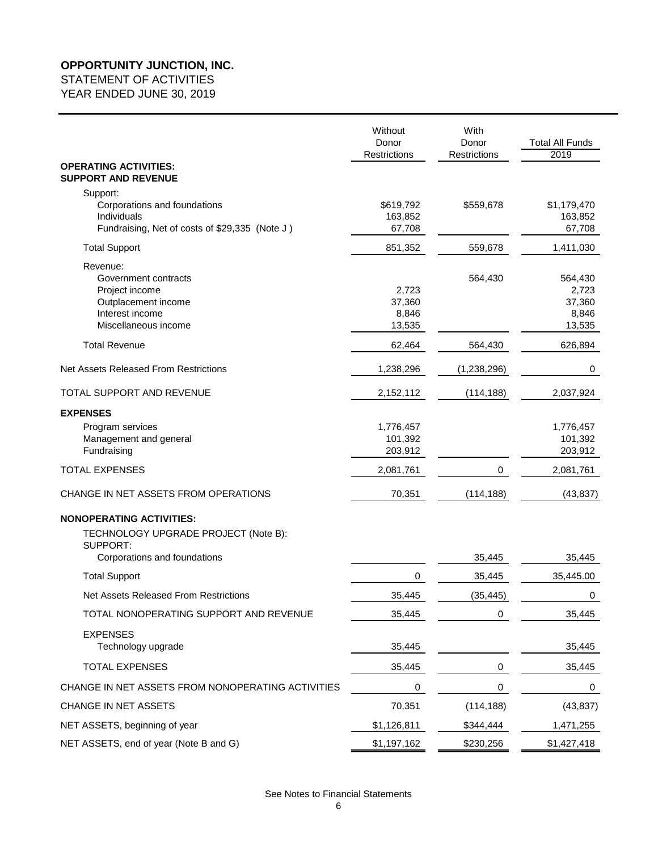### STATEMENT OF ACTIVITIES

|                                                                                                                      | Without<br>Donor<br><b>Restrictions</b> | With<br>Donor<br><b>Restrictions</b> | <b>Total All Funds</b><br>2019                |
|----------------------------------------------------------------------------------------------------------------------|-----------------------------------------|--------------------------------------|-----------------------------------------------|
| <b>OPERATING ACTIVITIES:</b><br><b>SUPPORT AND REVENUE</b>                                                           |                                         |                                      |                                               |
| Support:<br>Corporations and foundations<br>Individuals<br>Fundraising, Net of costs of \$29,335 (Note J)            | \$619,792<br>163,852<br>67,708          | \$559,678                            | \$1,179,470<br>163,852<br>67,708              |
| <b>Total Support</b>                                                                                                 | 851,352                                 | 559,678                              | 1,411,030                                     |
| Revenue:<br>Government contracts<br>Project income<br>Outplacement income<br>Interest income<br>Miscellaneous income | 2,723<br>37,360<br>8,846<br>13,535      | 564,430                              | 564,430<br>2,723<br>37,360<br>8,846<br>13,535 |
| <b>Total Revenue</b>                                                                                                 | 62,464                                  | 564,430                              | 626,894                                       |
| Net Assets Released From Restrictions                                                                                | 1,238,296                               | (1,238,296)                          | 0                                             |
| TOTAL SUPPORT AND REVENUE                                                                                            | 2,152,112                               | (114, 188)                           | 2,037,924                                     |
| <b>EXPENSES</b>                                                                                                      |                                         |                                      |                                               |
| Program services<br>Management and general<br>Fundraising                                                            | 1,776,457<br>101,392<br>203,912         |                                      | 1,776,457<br>101,392<br>203,912               |
| <b>TOTAL EXPENSES</b>                                                                                                | 2,081,761                               | 0                                    | 2,081,761                                     |
| CHANGE IN NET ASSETS FROM OPERATIONS                                                                                 | 70,351                                  | (114, 188)                           | (43, 837)                                     |
| <b>NONOPERATING ACTIVITIES:</b><br>TECHNOLOGY UPGRADE PROJECT (Note B):<br>SUPPORT:                                  |                                         |                                      |                                               |
| Corporations and foundations                                                                                         | 0                                       | 35,445                               | 35,445                                        |
| <b>Total Support</b><br>Net Assets Released From Restrictions                                                        |                                         | 35,445                               | 35,445.00                                     |
| TOTAL NONOPERATING SUPPORT AND REVENUE                                                                               | 35,445                                  | (35, 445)                            | 0                                             |
| <b>EXPENSES</b>                                                                                                      | 35,445                                  | 0                                    | 35,445                                        |
| Technology upgrade                                                                                                   | 35,445                                  |                                      | 35,445                                        |
| <b>TOTAL EXPENSES</b>                                                                                                | 35,445                                  | 0                                    | 35,445                                        |
| CHANGE IN NET ASSETS FROM NONOPERATING ACTIVITIES                                                                    | 0                                       | $\mathbf 0$                          | 0                                             |
| CHANGE IN NET ASSETS                                                                                                 | 70,351                                  | (114, 188)                           | (43, 837)                                     |
| NET ASSETS, beginning of year                                                                                        | \$1,126,811                             | \$344,444                            | 1,471,255                                     |
| NET ASSETS, end of year (Note B and G)                                                                               | \$1,197,162                             | \$230,256                            | \$1,427,418                                   |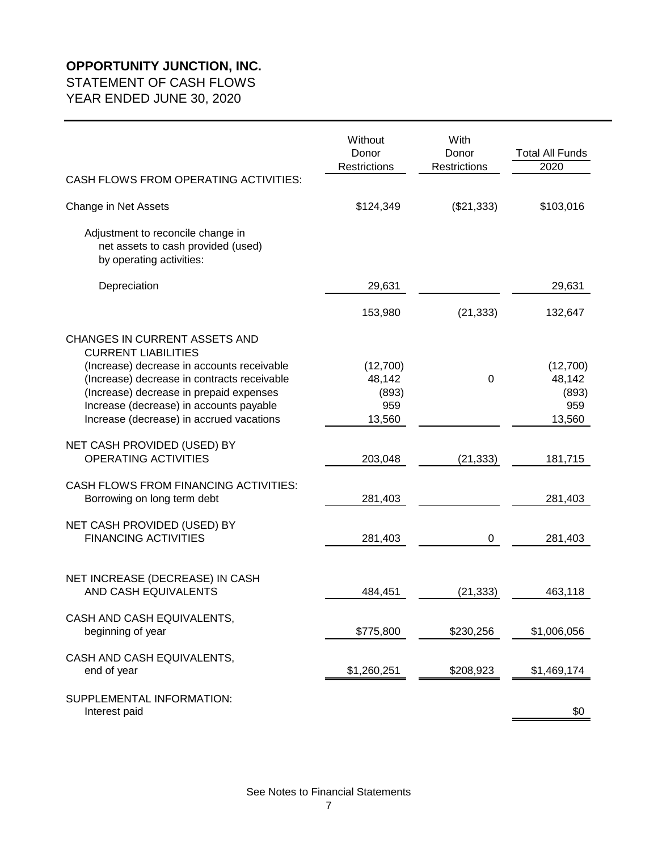STATEMENT OF CASH FLOWS

|                                                                                                                                                                                                                             | Without<br>Donor<br><b>Restrictions</b>      | With<br>Donor<br><b>Restrictions</b> | <b>Total All Funds</b><br>2020               |
|-----------------------------------------------------------------------------------------------------------------------------------------------------------------------------------------------------------------------------|----------------------------------------------|--------------------------------------|----------------------------------------------|
| CASH FLOWS FROM OPERATING ACTIVITIES:                                                                                                                                                                                       |                                              |                                      |                                              |
| Change in Net Assets                                                                                                                                                                                                        | \$124,349                                    | (\$21,333)                           | \$103,016                                    |
| Adjustment to reconcile change in<br>net assets to cash provided (used)<br>by operating activities:                                                                                                                         |                                              |                                      |                                              |
| Depreciation                                                                                                                                                                                                                | 29,631                                       |                                      | 29,631                                       |
|                                                                                                                                                                                                                             | 153,980                                      | (21, 333)                            | 132,647                                      |
| CHANGES IN CURRENT ASSETS AND<br><b>CURRENT LIABILITIES</b>                                                                                                                                                                 |                                              |                                      |                                              |
| (Increase) decrease in accounts receivable<br>(Increase) decrease in contracts receivable<br>(Increase) decrease in prepaid expenses<br>Increase (decrease) in accounts payable<br>Increase (decrease) in accrued vacations | (12,700)<br>48,142<br>(893)<br>959<br>13,560 | $\Omega$                             | (12,700)<br>48,142<br>(893)<br>959<br>13,560 |
| NET CASH PROVIDED (USED) BY<br><b>OPERATING ACTIVITIES</b>                                                                                                                                                                  | 203,048                                      | (21, 333)                            | 181,715                                      |
| CASH FLOWS FROM FINANCING ACTIVITIES:<br>Borrowing on long term debt                                                                                                                                                        | 281,403                                      |                                      | 281,403                                      |
| NET CASH PROVIDED (USED) BY<br><b>FINANCING ACTIVITIES</b>                                                                                                                                                                  | 281,403                                      | 0                                    | 281,403                                      |
| NET INCREASE (DECREASE) IN CASH<br>AND CASH EQUIVALENTS                                                                                                                                                                     | 484,451                                      | (21, 333)                            | 463,118                                      |
| CASH AND CASH EQUIVALENTS,<br>beginning of year                                                                                                                                                                             | \$775,800                                    | \$230,256                            | \$1,006,056                                  |
| CASH AND CASH EQUIVALENTS,<br>end of year                                                                                                                                                                                   | \$1,260,251                                  | \$208,923                            | \$1,469,174                                  |
| SUPPLEMENTAL INFORMATION:                                                                                                                                                                                                   |                                              |                                      |                                              |
| Interest paid                                                                                                                                                                                                               |                                              |                                      | \$0                                          |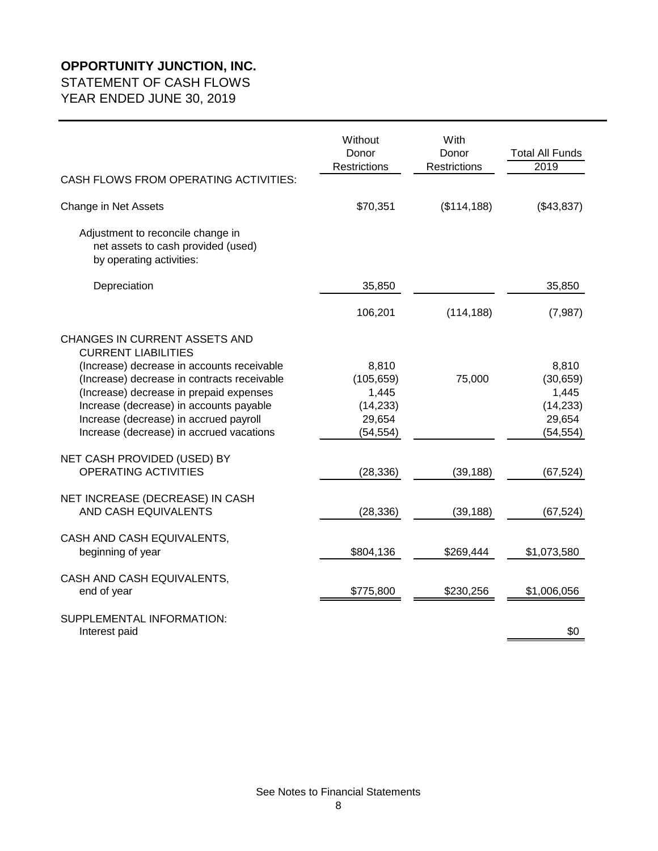# STATEMENT OF CASH FLOWS

|                                                                                                                                                                                                                                                                                                                                      | Without<br>Donor<br><b>Restrictions</b>                          | With<br>Donor<br><b>Restrictions</b> | <b>Total All Funds</b><br>2019                                  |
|--------------------------------------------------------------------------------------------------------------------------------------------------------------------------------------------------------------------------------------------------------------------------------------------------------------------------------------|------------------------------------------------------------------|--------------------------------------|-----------------------------------------------------------------|
| CASH FLOWS FROM OPERATING ACTIVITIES:                                                                                                                                                                                                                                                                                                |                                                                  |                                      |                                                                 |
| Change in Net Assets                                                                                                                                                                                                                                                                                                                 | \$70,351                                                         | (\$114, 188)                         | (\$43,837)                                                      |
| Adjustment to reconcile change in<br>net assets to cash provided (used)<br>by operating activities:                                                                                                                                                                                                                                  |                                                                  |                                      |                                                                 |
| Depreciation                                                                                                                                                                                                                                                                                                                         | 35,850                                                           |                                      | 35,850                                                          |
|                                                                                                                                                                                                                                                                                                                                      | 106,201                                                          | (114, 188)                           | (7, 987)                                                        |
| CHANGES IN CURRENT ASSETS AND<br><b>CURRENT LIABILITIES</b><br>(Increase) decrease in accounts receivable<br>(Increase) decrease in contracts receivable<br>(Increase) decrease in prepaid expenses<br>Increase (decrease) in accounts payable<br>Increase (decrease) in accrued payroll<br>Increase (decrease) in accrued vacations | 8,810<br>(105, 659)<br>1,445<br>(14, 233)<br>29,654<br>(54, 554) | 75,000                               | 8,810<br>(30, 659)<br>1,445<br>(14, 233)<br>29,654<br>(54, 554) |
| NET CASH PROVIDED (USED) BY<br><b>OPERATING ACTIVITIES</b>                                                                                                                                                                                                                                                                           | (28, 336)                                                        | (39, 188)                            | (67, 524)                                                       |
| NET INCREASE (DECREASE) IN CASH<br>AND CASH EQUIVALENTS                                                                                                                                                                                                                                                                              | (28, 336)                                                        | (39, 188)                            | (67, 524)                                                       |
| CASH AND CASH EQUIVALENTS,<br>beginning of year                                                                                                                                                                                                                                                                                      | \$804,136                                                        | \$269,444                            | \$1,073,580                                                     |
| CASH AND CASH EQUIVALENTS,<br>end of year                                                                                                                                                                                                                                                                                            | \$775,800                                                        | \$230,256                            | \$1,006,056                                                     |
| SUPPLEMENTAL INFORMATION:<br>Interest paid                                                                                                                                                                                                                                                                                           |                                                                  |                                      | \$0                                                             |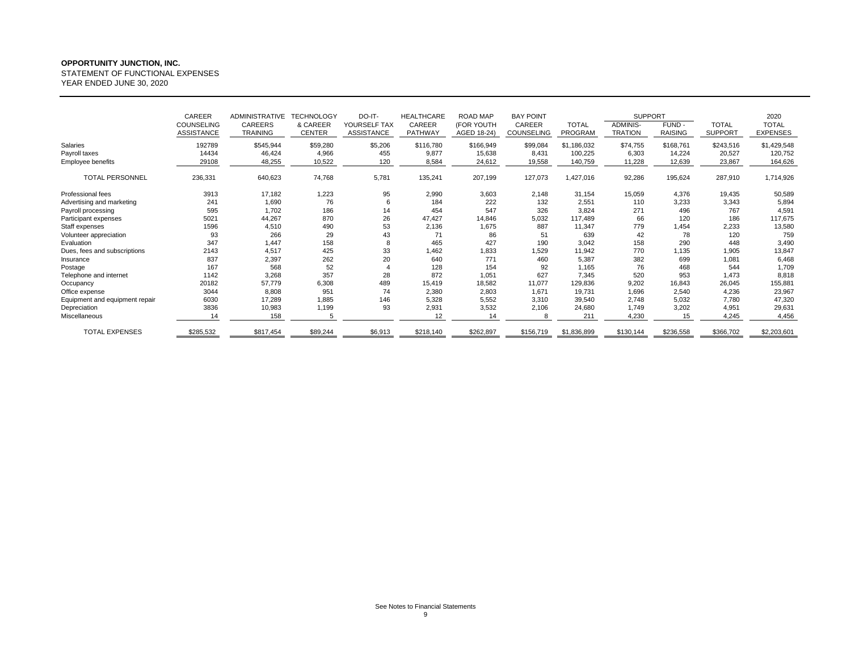STATEMENT OF FUNCTIONAL EXPENSES

|                                | CAREER<br><b>COUNSELING</b><br><b>ASSISTANCE</b> | <b>ADMINISTRATIVE</b><br><b>CAREERS</b><br><b>TRAINING</b> | <b>TECHNOLOGY</b><br>& CAREER<br><b>CENTER</b> | DO-IT-<br>YOURSELF TAX<br><b>ASSISTANCE</b> | <b>HEALTHCARE</b><br>CAREER<br>PATHWAY | ROAD MAP<br>(FOR YOUTH<br>AGED 18-24) | <b>BAY POINT</b><br>CAREER<br>COUNSELING | <b>TOTAL</b><br>PROGRAM | <b>SUPPORT</b><br><b>ADMINIS-</b><br><b>TRATION</b> | FUND -<br><b>RAISING</b> | <b>TOTAL</b><br><b>SUPPORT</b> | 2020<br><b>TOTAL</b><br><b>EXPENSES</b> |
|--------------------------------|--------------------------------------------------|------------------------------------------------------------|------------------------------------------------|---------------------------------------------|----------------------------------------|---------------------------------------|------------------------------------------|-------------------------|-----------------------------------------------------|--------------------------|--------------------------------|-----------------------------------------|
| Salaries                       | 192789                                           | \$545,944                                                  | \$59,280                                       | \$5,206                                     | \$116,780                              | \$166,949                             | \$99,084                                 | \$1,186,032             | \$74,755                                            | \$168,761                | \$243,516                      | \$1,429,548                             |
| Payroll taxes                  | 14434                                            | 46,424                                                     | 4,966                                          | 455                                         | 9,877                                  | 15,638                                | 8,431                                    | 100,225                 | 6,303                                               | 14,224                   | 20,527                         | 120,752                                 |
| Employee benefits              | 29108                                            | 48,255                                                     | 10,522                                         | 120                                         | 8,584                                  | 24,612                                | 19,558                                   | 140,759                 | 11,228                                              | 12,639                   | 23,867                         | 164,626                                 |
| <b>TOTAL PERSONNEL</b>         | 236,331                                          | 640,623                                                    | 74,768                                         | 5,781                                       | 135,241                                | 207,199                               | 127,073                                  | 1,427,016               | 92,286                                              | 195,624                  | 287,910                        | 1,714,926                               |
| Professional fees              | 3913                                             | 17,182                                                     | 1,223                                          | 95                                          | 2,990                                  | 3,603                                 | 2,148                                    | 31,154                  | 15,059                                              | 4,376                    | 19,435                         | 50,589                                  |
| Advertising and marketing      | 241                                              | 1,690                                                      | 76                                             | 6                                           | 184                                    | 222                                   | 132                                      | 2,551                   | 110                                                 | 3,233                    | 3,343                          | 5,894                                   |
| Payroll processing             | 595                                              | 1,702                                                      | 186                                            | 14                                          | 454                                    | 547                                   | 326                                      | 3,824                   | 271                                                 | 496                      | 767                            | 4,591                                   |
| Participant expenses           | 5021                                             | 44,267                                                     | 870                                            | 26                                          | 47,427                                 | 14,846                                | 5,032                                    | 117.489                 | 66                                                  | 120                      | 186                            | 117,675                                 |
| Staff expenses                 | 1596                                             | 4,510                                                      | 490                                            | 53                                          | 2,136                                  | 1,675                                 | 887                                      | 11,347                  | 779                                                 | 1.454                    | 2,233                          | 13,580                                  |
| Volunteer appreciation         | 93                                               | 266                                                        | 29                                             | 43                                          | 71                                     | 86                                    | 51                                       | 639                     | 42                                                  | 78                       | 120                            | 759                                     |
| Evaluation                     | 347                                              | 1.447                                                      | 158                                            | 8                                           | 465                                    | 427                                   | 190                                      | 3,042                   | 158                                                 | 290                      | 448                            | 3,490                                   |
| Dues, fees and subscriptions   | 2143                                             | 4,517                                                      | 425                                            | 33                                          | 1,462                                  | 1,833                                 | 1,529                                    | 11,942                  | 770                                                 | 1,135                    | 1,905                          | 13,847                                  |
| Insurance                      | 837                                              | 2,397                                                      | 262                                            | 20                                          | 640                                    | 771                                   | 460                                      | 5,387                   | 382                                                 | 699                      | 1,081                          | 6,468                                   |
| Postage                        | 167                                              | 568                                                        | 52                                             |                                             | 128                                    | 154                                   | 92                                       | 1,165                   | 76                                                  | 468                      | 544                            | 1,709                                   |
| Telephone and internet         | 1142                                             | 3,268                                                      | 357                                            | 28                                          | 872                                    | 1.051                                 | 627                                      | 7,345                   | 520                                                 | 953                      | 1.473                          | 8,818                                   |
| Occupancy                      | 20182                                            | 57,779                                                     | 6,308                                          | 489                                         | 15,419                                 | 18,582                                | 11,077                                   | 129,836                 | 9,202                                               | 16,843                   | 26,045                         | 155,881                                 |
| Office expense                 | 3044                                             | 8,808                                                      | 951                                            | 74                                          | 2,380                                  | 2,803                                 | 1,671                                    | 19,731                  | 1,696                                               | 2,540                    | 4,236                          | 23,967                                  |
| Equipment and equipment repair | 6030                                             | 17,289                                                     | 1.885                                          | 146                                         | 5,328                                  | 5,552                                 | 3,310                                    | 39,540                  | 2,748                                               | 5,032                    | 7,780                          | 47,320                                  |
| Depreciation                   | 3836                                             | 10,983                                                     | 1,199                                          | 93                                          | 2,931                                  | 3,532                                 | 2,106                                    | 24,680                  | 1,749                                               | 3,202                    | 4,951                          | 29,631                                  |
| Miscellaneous                  | 14                                               | 158                                                        | 5                                              |                                             | 12                                     | 14                                    |                                          | 211                     | 4,230                                               | 15                       | 4,245                          | 4,456                                   |
| <b>TOTAL EXPENSES</b>          | \$285,532                                        | \$817,454                                                  | \$89,244                                       | \$6,913                                     | \$218,140                              | \$262,897                             | \$156,719                                | \$1,836,899             | \$130,144                                           | \$236,558                | \$366,702                      | \$2,203,601                             |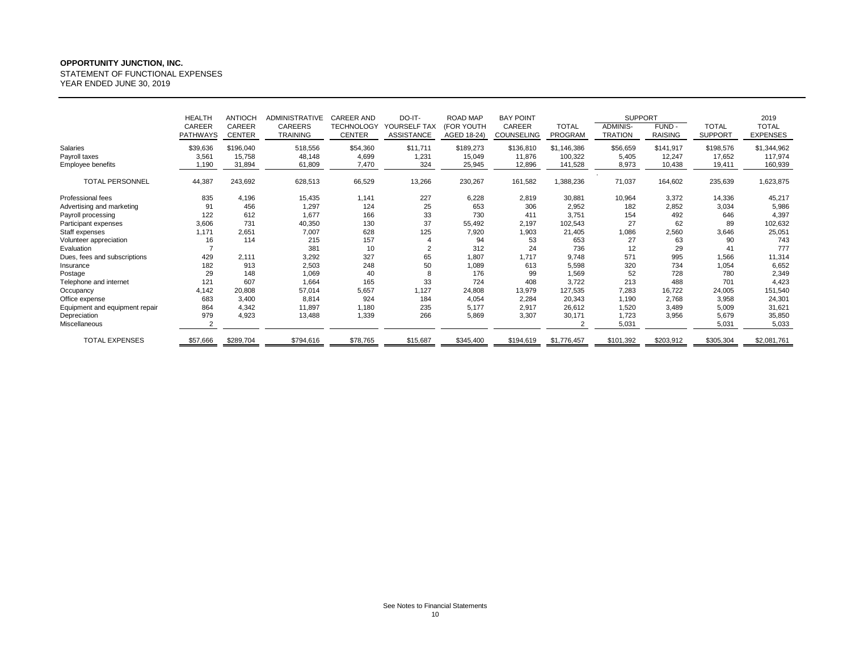STATEMENT OF FUNCTIONAL EXPENSES

|                                | <b>HEALTH</b>             | <b>ANTIOCH</b>          | <b>ADMINISTRATIVE</b>      | <b>CAREER AND</b>                  | DO-IT-                     | ROAD MAP                  | <b>BAY POINT</b>            |                         | <b>SUPPORT</b>             |                          |                                | 2019                            |
|--------------------------------|---------------------------|-------------------------|----------------------------|------------------------------------|----------------------------|---------------------------|-----------------------------|-------------------------|----------------------------|--------------------------|--------------------------------|---------------------------------|
|                                | CAREER<br><b>PATHWAYS</b> | CAREER<br><b>CENTER</b> | CAREERS<br><b>TRAINING</b> | <b>TECHNOLOGY</b><br><b>CENTER</b> | YOURSELF TAX<br>ASSISTANCE | (FOR YOUTH<br>AGED 18-24) | CAREER<br><b>COUNSELING</b> | <b>TOTAL</b><br>PROGRAM | ADMINIS-<br><b>TRATION</b> | FUND -<br><b>RAISING</b> | <b>TOTAL</b><br><b>SUPPORT</b> | <b>TOTAL</b><br><b>EXPENSES</b> |
|                                |                           |                         |                            |                                    |                            |                           |                             |                         |                            |                          |                                |                                 |
| Salaries                       | \$39,636                  | \$196,040               | 518,556                    | \$54,360                           | \$11,711                   | \$189,273                 | \$136,810                   | \$1,146,386             | \$56,659                   | \$141,917                | \$198,576                      | \$1,344,962                     |
| Payroll taxes                  | 3,561                     | 15,758                  | 48,148                     | 4,699                              | 1,231                      | 15,049                    | 11,876                      | 100,322                 | 5,405                      | 12,247                   | 17,652                         | 117,974                         |
| <b>Employee benefits</b>       | 1,190                     | 31,894                  | 61,809                     | 7,470                              | 324                        | 25,945                    | 12,896                      | 141,528                 | 8,973                      | 10,438                   | 19,411                         | 160,939                         |
| <b>TOTAL PERSONNEL</b>         | 44,387                    | 243,692                 | 628,513                    | 66,529                             | 13,266                     | 230,267                   | 161,582                     | 1,388,236               | 71,037                     | 164,602                  | 235,639                        | 1,623,875                       |
| Professional fees              | 835                       | 4,196                   | 15,435                     | 1,141                              | 227                        | 6,228                     | 2,819                       | 30,881                  | 10,964                     | 3,372                    | 14,336                         | 45,217                          |
| Advertising and marketing      | 91                        | 456                     | 1,297                      | 124                                | 25                         | 653                       | 306                         | 2,952                   | 182                        | 2,852                    | 3,034                          | 5,986                           |
| Payroll processing             | 122                       | 612                     | 1,677                      | 166                                | 33                         | 730                       | 411                         | 3,751                   | 154                        | 492                      | 646                            | 4,397                           |
| Participant expenses           | 3,606                     | 731                     | 40,350                     | 130                                | 37                         | 55,492                    | 2,197                       | 102,543                 | 27                         | 62                       | 89                             | 102,632                         |
| Staff expenses                 | 1.171                     | 2,651                   | 7,007                      | 628                                | 125                        | 7,920                     | 1,903                       | 21,405                  | 1,086                      | 2,560                    | 3,646                          | 25,051                          |
| Volunteer appreciation         | 16                        | 114                     | 215                        | 157                                |                            | 94                        | 53                          | 653                     | 27                         | 63                       | 90                             | 743                             |
| Evaluation                     |                           |                         | 381                        | 10                                 | $\overline{2}$             | 312                       | 24                          | 736                     | 12                         | 29                       | 41                             | 777                             |
| Dues, fees and subscriptions   | 429                       | 2,111                   | 3,292                      | 327                                | 65                         | 1,807                     | 1.717                       | 9.748                   | 571                        | 995                      | 1,566                          | 11,314                          |
| Insurance                      | 182                       | 913                     | 2,503                      | 248                                | 50                         | 1,089                     | 613                         | 5,598                   | 320                        | 734                      | 1,054                          | 6,652                           |
| Postage                        | 29                        | 148                     | 1,069                      | 40                                 | 8                          | 176                       | 99                          | 1,569                   | 52                         | 728                      | 780                            | 2,349                           |
| Telephone and internet         | 121                       | 607                     | 1,664                      | 165                                | 33                         | 724                       | 408                         | 3,722                   | 213                        | 488                      | 701                            | 4,423                           |
| Occupancy                      | 4,142                     | 20,808                  | 57,014                     | 5,657                              | 1,127                      | 24,808                    | 13,979                      | 127,535                 | 7,283                      | 16,722                   | 24,005                         | 151,540                         |
| Office expense                 | 683                       | 3.400                   | 8,814                      | 924                                | 184                        | 4,054                     | 2,284                       | 20,343                  | 1,190                      | 2,768                    | 3,958                          | 24,301                          |
| Equipment and equipment repair | 864                       | 4,342                   | 11,897                     | 1,180                              | 235                        | 5,177                     | 2,917                       | 26,612                  | 1,520                      | 3,489                    | 5,009                          | 31,621                          |
| Depreciation                   | 979                       | 4,923                   | 13,488                     | 1,339                              | 266                        | 5,869                     | 3,307                       | 30,171                  | 1,723                      | 3,956                    | 5,679                          | 35,850                          |
| Miscellaneous                  |                           |                         |                            |                                    |                            |                           |                             |                         | 5,031                      |                          | 5,031                          | 5,033                           |
| <b>TOTAL EXPENSES</b>          | \$57,666                  | \$289,704               | \$794,616                  | \$78,765                           | \$15,687                   | \$345,400                 | \$194,619                   | \$1,776,457             | \$101,392                  | \$203,912                | \$305,304                      | \$2,081,761                     |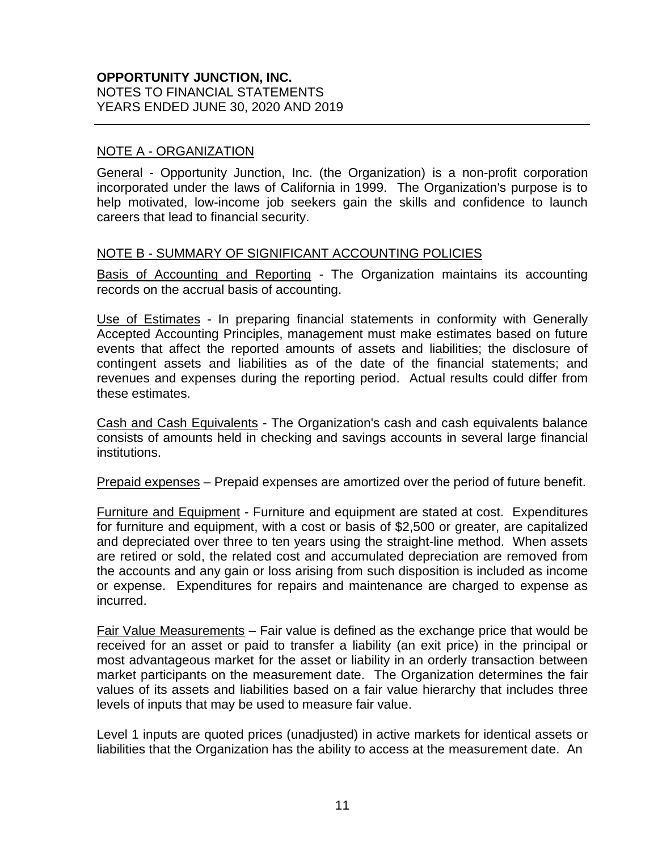#### NOTE A - ORGANIZATION

General - Opportunity Junction, Inc. (the Organization) is a non-profit corporation incorporated under the laws of California in 1999. The Organization's purpose is to help motivated, low-income job seekers gain the skills and confidence to launch careers that lead to financial security.

#### NOTE B - SUMMARY OF SIGNIFICANT ACCOUNTING POLICIES

Basis of Accounting and Reporting - The Organization maintains its accounting records on the accrual basis of accounting.

Use of Estimates - In preparing financial statements in conformity with Generally Accepted Accounting Principles, management must make estimates based on future events that affect the reported amounts of assets and liabilities; the disclosure of contingent assets and liabilities as of the date of the financial statements; and revenues and expenses during the reporting period. Actual results could differ from these estimates.

Cash and Cash Equivalents - The Organization's cash and cash equivalents balance consists of amounts held in checking and savings accounts in several large financial institutions.

Prepaid expenses – Prepaid expenses are amortized over the period of future benefit.

Furniture and Equipment - Furniture and equipment are stated at cost. Expenditures for furniture and equipment, with a cost or basis of \$2,500 or greater, are capitalized and depreciated over three to ten years using the straight-line method. When assets are retired or sold, the related cost and accumulated depreciation are removed from the accounts and any gain or loss arising from such disposition is included as income or expense. Expenditures for repairs and maintenance are charged to expense as incurred.

Fair Value Measurements – Fair value is defined as the exchange price that would be received for an asset or paid to transfer a liability (an exit price) in the principal or most advantageous market for the asset or liability in an orderly transaction between market participants on the measurement date. The Organization determines the fair values of its assets and liabilities based on a fair value hierarchy that includes three levels of inputs that may be used to measure fair value.

Level 1 inputs are quoted prices (unadjusted) in active markets for identical assets or liabilities that the Organization has the ability to access at the measurement date. An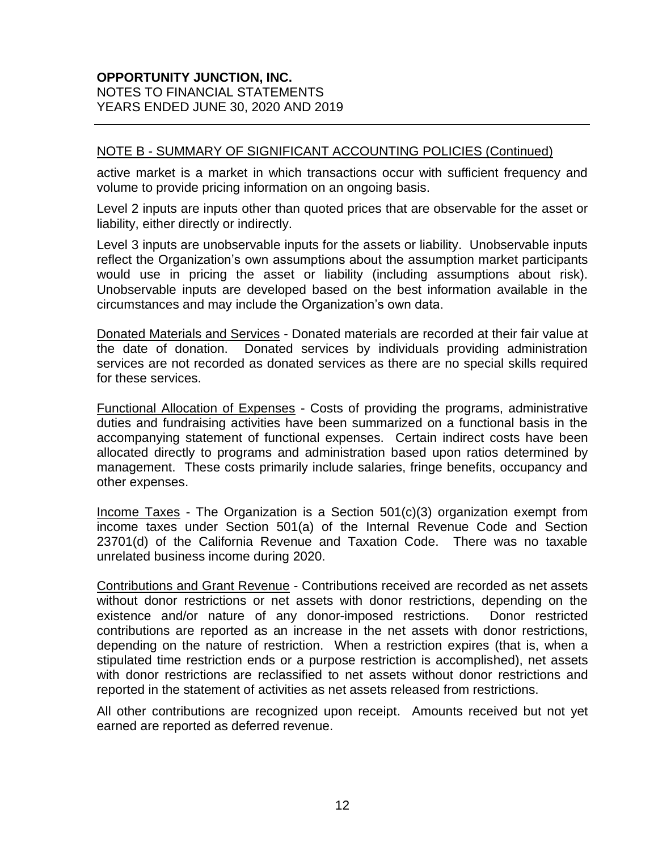#### NOTE B - SUMMARY OF SIGNIFICANT ACCOUNTING POLICIES (Continued)

active market is a market in which transactions occur with sufficient frequency and volume to provide pricing information on an ongoing basis.

Level 2 inputs are inputs other than quoted prices that are observable for the asset or liability, either directly or indirectly.

Level 3 inputs are unobservable inputs for the assets or liability. Unobservable inputs reflect the Organization's own assumptions about the assumption market participants would use in pricing the asset or liability (including assumptions about risk). Unobservable inputs are developed based on the best information available in the circumstances and may include the Organization's own data.

Donated Materials and Services - Donated materials are recorded at their fair value at the date of donation. Donated services by individuals providing administration services are not recorded as donated services as there are no special skills required for these services.

Functional Allocation of Expenses - Costs of providing the programs, administrative duties and fundraising activities have been summarized on a functional basis in the accompanying statement of functional expenses. Certain indirect costs have been allocated directly to programs and administration based upon ratios determined by management. These costs primarily include salaries, fringe benefits, occupancy and other expenses.

Income Taxes - The Organization is a Section 501(c)(3) organization exempt from income taxes under Section 501(a) of the Internal Revenue Code and Section 23701(d) of the California Revenue and Taxation Code. There was no taxable unrelated business income during 2020.

Contributions and Grant Revenue - Contributions received are recorded as net assets without donor restrictions or net assets with donor restrictions, depending on the existence and/or nature of any donor-imposed restrictions. Donor restricted contributions are reported as an increase in the net assets with donor restrictions, depending on the nature of restriction. When a restriction expires (that is, when a stipulated time restriction ends or a purpose restriction is accomplished), net assets with donor restrictions are reclassified to net assets without donor restrictions and reported in the statement of activities as net assets released from restrictions.

All other contributions are recognized upon receipt. Amounts received but not yet earned are reported as deferred revenue.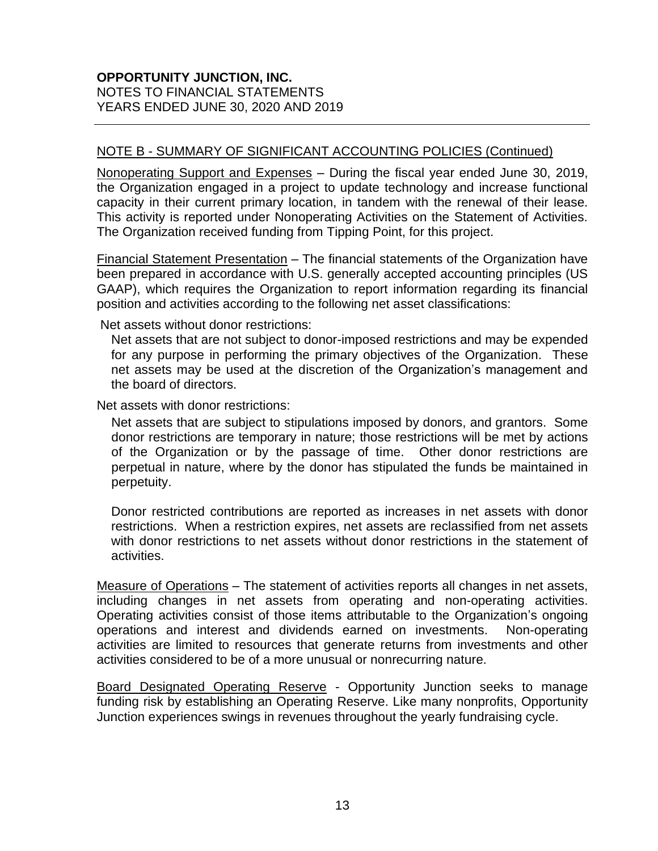#### NOTE B - SUMMARY OF SIGNIFICANT ACCOUNTING POLICIES (Continued)

Nonoperating Support and Expenses – During the fiscal year ended June 30, 2019, the Organization engaged in a project to update technology and increase functional capacity in their current primary location, in tandem with the renewal of their lease. This activity is reported under Nonoperating Activities on the Statement of Activities. The Organization received funding from Tipping Point, for this project.

Financial Statement Presentation – The financial statements of the Organization have been prepared in accordance with U.S. generally accepted accounting principles (US GAAP), which requires the Organization to report information regarding its financial position and activities according to the following net asset classifications:

Net assets without donor restrictions:

Net assets that are not subject to donor-imposed restrictions and may be expended for any purpose in performing the primary objectives of the Organization. These net assets may be used at the discretion of the Organization's management and the board of directors.

Net assets with donor restrictions:

Net assets that are subject to stipulations imposed by donors, and grantors. Some donor restrictions are temporary in nature; those restrictions will be met by actions of the Organization or by the passage of time. Other donor restrictions are perpetual in nature, where by the donor has stipulated the funds be maintained in perpetuity.

Donor restricted contributions are reported as increases in net assets with donor restrictions. When a restriction expires, net assets are reclassified from net assets with donor restrictions to net assets without donor restrictions in the statement of activities.

Measure of Operations – The statement of activities reports all changes in net assets, including changes in net assets from operating and non-operating activities. Operating activities consist of those items attributable to the Organization's ongoing operations and interest and dividends earned on investments. Non-operating activities are limited to resources that generate returns from investments and other activities considered to be of a more unusual or nonrecurring nature.

Board Designated Operating Reserve - Opportunity Junction seeks to manage funding risk by establishing an Operating Reserve. Like many nonprofits, Opportunity Junction experiences swings in revenues throughout the yearly fundraising cycle.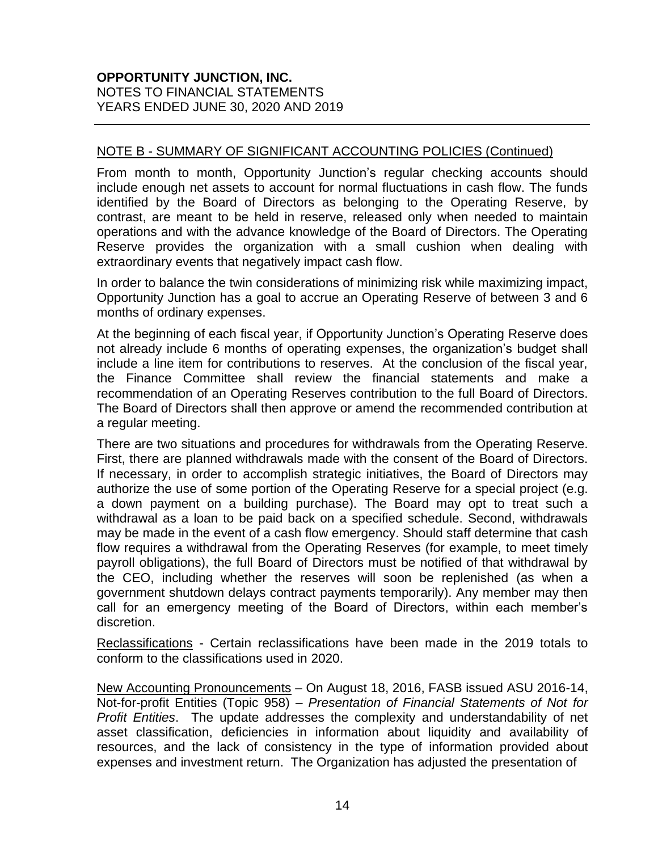#### NOTE B - SUMMARY OF SIGNIFICANT ACCOUNTING POLICIES (Continued)

From month to month, Opportunity Junction's regular checking accounts should include enough net assets to account for normal fluctuations in cash flow. The funds identified by the Board of Directors as belonging to the Operating Reserve, by contrast, are meant to be held in reserve, released only when needed to maintain operations and with the advance knowledge of the Board of Directors. The Operating Reserve provides the organization with a small cushion when dealing with extraordinary events that negatively impact cash flow.

In order to balance the twin considerations of minimizing risk while maximizing impact, Opportunity Junction has a goal to accrue an Operating Reserve of between 3 and 6 months of ordinary expenses.

At the beginning of each fiscal year, if Opportunity Junction's Operating Reserve does not already include 6 months of operating expenses, the organization's budget shall include a line item for contributions to reserves. At the conclusion of the fiscal year, the Finance Committee shall review the financial statements and make a recommendation of an Operating Reserves contribution to the full Board of Directors. The Board of Directors shall then approve or amend the recommended contribution at a regular meeting.

There are two situations and procedures for withdrawals from the Operating Reserve. First, there are planned withdrawals made with the consent of the Board of Directors. If necessary, in order to accomplish strategic initiatives, the Board of Directors may authorize the use of some portion of the Operating Reserve for a special project (e.g. a down payment on a building purchase). The Board may opt to treat such a withdrawal as a loan to be paid back on a specified schedule. Second, withdrawals may be made in the event of a cash flow emergency. Should staff determine that cash flow requires a withdrawal from the Operating Reserves (for example, to meet timely payroll obligations), the full Board of Directors must be notified of that withdrawal by the CEO, including whether the reserves will soon be replenished (as when a government shutdown delays contract payments temporarily). Any member may then call for an emergency meeting of the Board of Directors, within each member's discretion.

Reclassifications - Certain reclassifications have been made in the 2019 totals to conform to the classifications used in 2020.

New Accounting Pronouncements – On August 18, 2016, FASB issued ASU 2016-14, Not-for-profit Entities (Topic 958) – *Presentation of Financial Statements of Not for Profit Entities*. The update addresses the complexity and understandability of net asset classification, deficiencies in information about liquidity and availability of resources, and the lack of consistency in the type of information provided about expenses and investment return. The Organization has adjusted the presentation of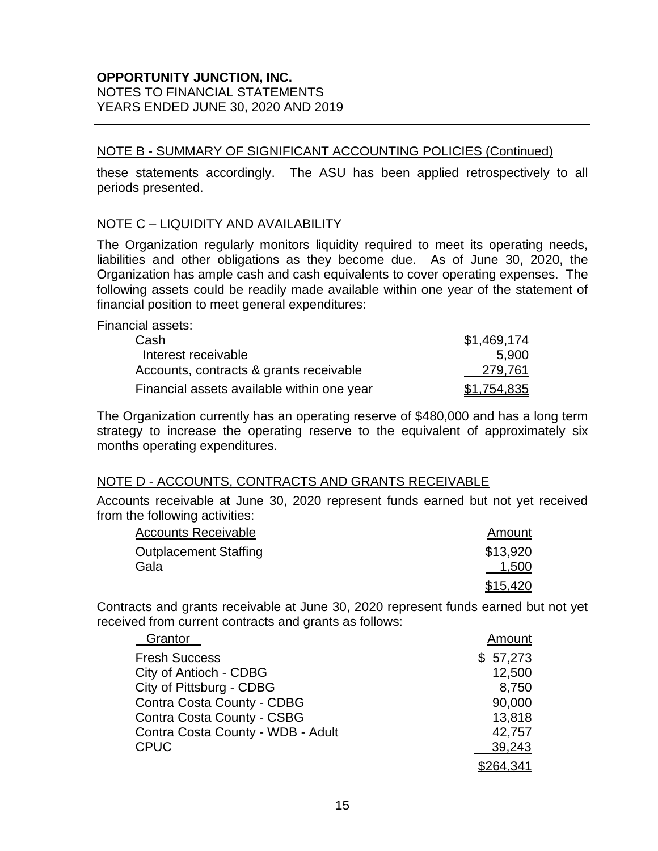#### **OPPORTUNITY JUNCTION, INC.** NOTES TO FINANCIAL STATEMENTS

YEARS ENDED JUNE 30, 2020 AND 2019

### NOTE B - SUMMARY OF SIGNIFICANT ACCOUNTING POLICIES (Continued)

these statements accordingly. The ASU has been applied retrospectively to all periods presented.

### NOTE C – LIQUIDITY AND AVAILABILITY

The Organization regularly monitors liquidity required to meet its operating needs, liabilities and other obligations as they become due. As of June 30, 2020, the Organization has ample cash and cash equivalents to cover operating expenses. The following assets could be readily made available within one year of the statement of financial position to meet general expenditures:

Financial assets:

| Cash                                       | \$1,469,174        |
|--------------------------------------------|--------------------|
| Interest receivable                        | 5.900              |
| Accounts, contracts & grants receivable    | 279,761            |
| Financial assets available within one year | <u>\$1,754,835</u> |

The Organization currently has an operating reserve of \$480,000 and has a long term strategy to increase the operating reserve to the equivalent of approximately six months operating expenditures.

### NOTE D - ACCOUNTS, CONTRACTS AND GRANTS RECEIVABLE

Accounts receivable at June 30, 2020 represent funds earned but not yet received from the following activities:

| <b>Accounts Receivable</b>   | Amount   |
|------------------------------|----------|
| <b>Outplacement Staffing</b> | \$13,920 |
| Gala                         | 1,500    |
|                              | \$15,420 |

Contracts and grants receivable at June 30, 2020 represent funds earned but not yet received from current contracts and grants as follows:

| Grantor                           | Amount    |
|-----------------------------------|-----------|
| <b>Fresh Success</b>              | \$57,273  |
| City of Antioch - CDBG            | 12,500    |
| City of Pittsburg - CDBG          | 8,750     |
| Contra Costa County - CDBG        | 90,000    |
| Contra Costa County - CSBG        | 13,818    |
| Contra Costa County - WDB - Adult | 42,757    |
| <b>CPUC</b>                       | 39,243    |
|                                   | \$264.341 |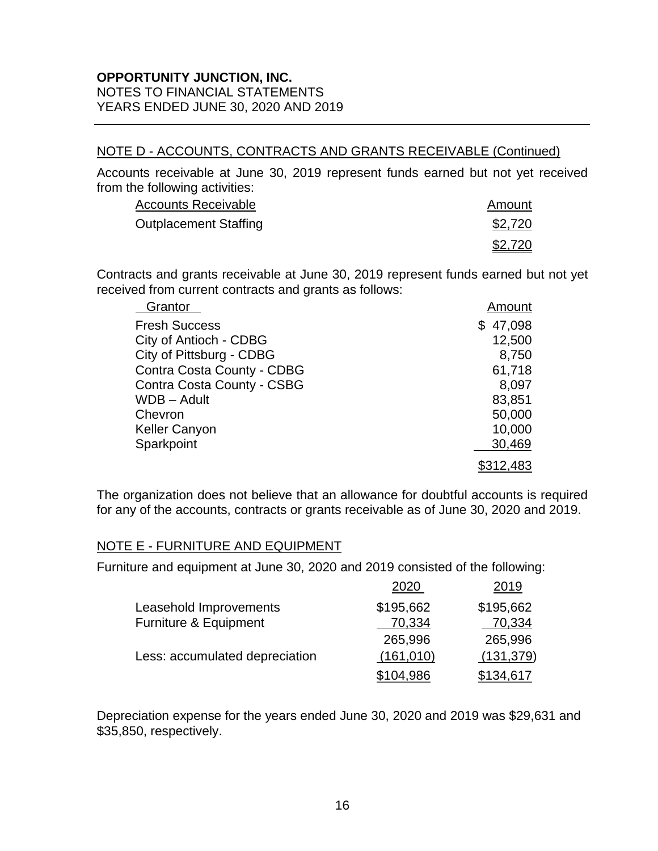#### NOTE D - ACCOUNTS, CONTRACTS AND GRANTS RECEIVABLE (Continued)

Accounts receivable at June 30, 2019 represent funds earned but not yet received from the following activities:

| <b>Accounts Receivable</b>   | Amount  |
|------------------------------|---------|
| <b>Outplacement Staffing</b> | \$2,720 |
|                              | \$2,720 |

Contracts and grants receivable at June 30, 2019 represent funds earned but not yet received from current contracts and grants as follows:

| Grantor                    | Amount    |
|----------------------------|-----------|
| <b>Fresh Success</b>       | \$47,098  |
| City of Antioch - CDBG     | 12,500    |
| City of Pittsburg - CDBG   | 8,750     |
| Contra Costa County - CDBG | 61,718    |
| Contra Costa County - CSBG | 8,097     |
| WDB - Adult                | 83,851    |
| Chevron                    | 50,000    |
| <b>Keller Canyon</b>       | 10,000    |
| Sparkpoint                 | 30,469    |
|                            | \$312,483 |

The organization does not believe that an allowance for doubtful accounts is required for any of the accounts, contracts or grants receivable as of June 30, 2020 and 2019.

#### NOTE E - FURNITURE AND EQUIPMENT

Furniture and equipment at June 30, 2020 and 2019 consisted of the following:

|                                | 2020       | 2019       |
|--------------------------------|------------|------------|
| Leasehold Improvements         | \$195,662  | \$195,662  |
| Furniture & Equipment          | 70,334     | 70,334     |
|                                | 265,996    | 265,996    |
| Less: accumulated depreciation | (161, 010) | (131, 379) |
|                                | \$104,986  | \$134,617  |

Depreciation expense for the years ended June 30, 2020 and 2019 was \$29,631 and \$35,850, respectively.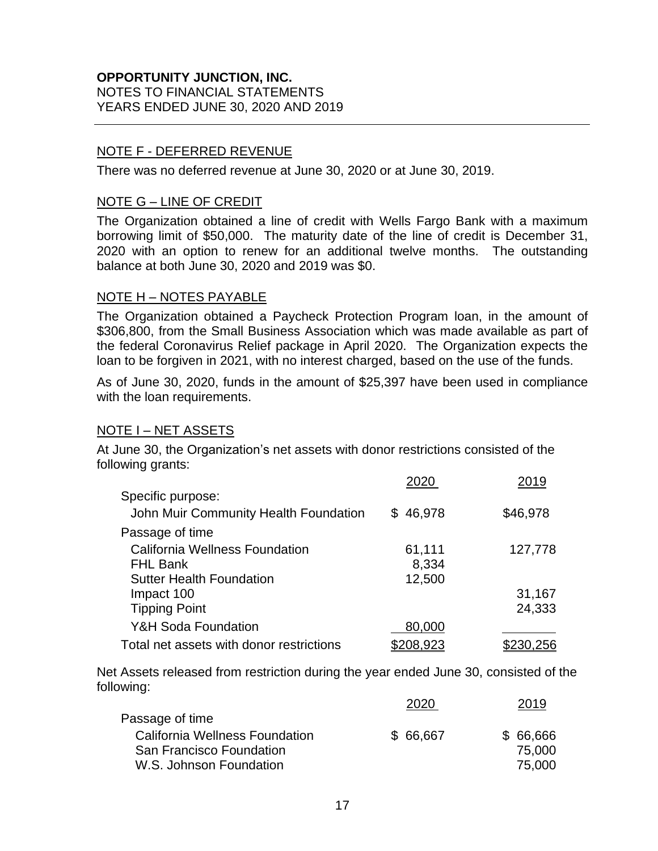### NOTE F - DEFERRED REVENUE

There was no deferred revenue at June 30, 2020 or at June 30, 2019.

#### NOTE G – LINE OF CREDIT

The Organization obtained a line of credit with Wells Fargo Bank with a maximum borrowing limit of \$50,000. The maturity date of the line of credit is December 31, 2020 with an option to renew for an additional twelve months. The outstanding balance at both June 30, 2020 and 2019 was \$0.

#### NOTE H – NOTES PAYABLE

The Organization obtained a Paycheck Protection Program loan, in the amount of \$306,800, from the Small Business Association which was made available as part of the federal Coronavirus Relief package in April 2020. The Organization expects the loan to be forgiven in 2021, with no interest charged, based on the use of the funds.

As of June 30, 2020, funds in the amount of \$25,397 have been used in compliance with the loan requirements.

### **NOTE I – NET ASSETS**

At June 30, the Organization's net assets with donor restrictions consisted of the following grants:

|                                          | 2020     | 2019     |
|------------------------------------------|----------|----------|
| Specific purpose:                        |          |          |
| John Muir Community Health Foundation    | \$46,978 | \$46,978 |
| Passage of time                          |          |          |
| California Wellness Foundation           | 61,111   | 127,778  |
| <b>FHL Bank</b>                          | 8,334    |          |
| <b>Sutter Health Foundation</b>          | 12,500   |          |
| Impact 100                               |          | 31,167   |
| <b>Tipping Point</b>                     |          | 24,333   |
| Y&H Soda Foundation                      | 80,000   |          |
| Total net assets with donor restrictions | 208,923  |          |

Net Assets released from restriction during the year ended June 30, consisted of the following:

|                                |          | 2019     |
|--------------------------------|----------|----------|
| Passage of time                |          |          |
| California Wellness Foundation | \$66,667 | \$66,666 |
| San Francisco Foundation       |          | 75,000   |
| W.S. Johnson Foundation        |          | 75,000   |
|                                |          |          |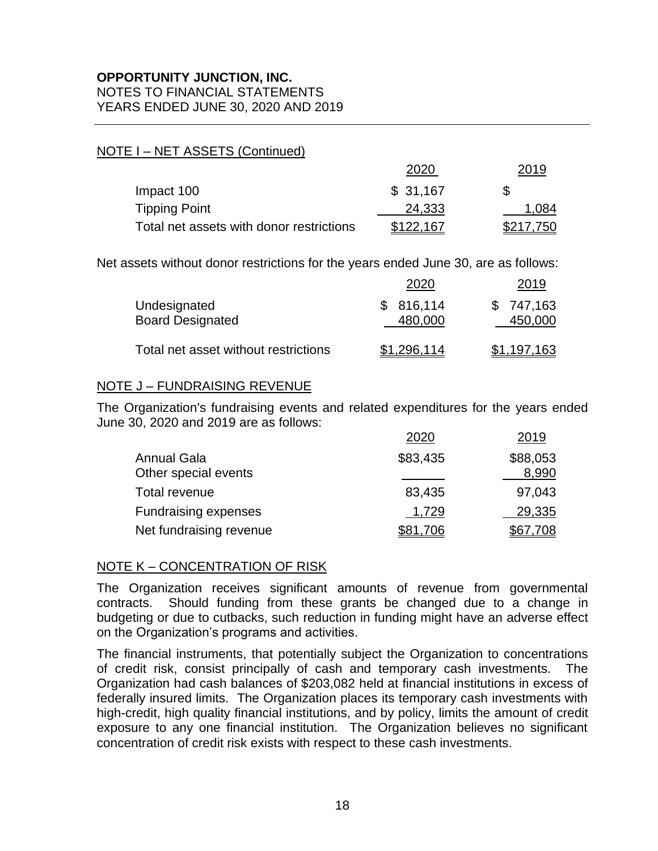#### NOTE I – NET ASSETS (Continued)

|                                          | 2020      | 2019      |
|------------------------------------------|-----------|-----------|
| Impact 100                               | \$31,167  | S         |
| <b>Tipping Point</b>                     | 24,333    | 1.084     |
| Total net assets with donor restrictions | \$122,167 | \$217,750 |

Net assets without donor restrictions for the years ended June 30, are as follows:

|                                         | 2020                 | 2019                 |
|-----------------------------------------|----------------------|----------------------|
| Undesignated<br><b>Board Designated</b> | \$816,114<br>480,000 | \$747,163<br>450,000 |
| Total net asset without restrictions    | \$1,296,114          | \$1,197,163          |

#### NOTE J – FUNDRAISING REVENUE

The Organization's fundraising events and related expenditures for the years ended June 30, 2020 and 2019 are as follows:

|                                            | 2020     | 2019              |
|--------------------------------------------|----------|-------------------|
| <b>Annual Gala</b><br>Other special events | \$83,435 | \$88,053<br>8,990 |
| Total revenue                              | 83,435   | 97,043            |
| <b>Fundraising expenses</b>                | 1,729    | 29,335            |
| Net fundraising revenue                    | \$81,706 | \$67,708          |

### NOTE K – CONCENTRATION OF RISK

The Organization receives significant amounts of revenue from governmental contracts. Should funding from these grants be changed due to a change in budgeting or due to cutbacks, such reduction in funding might have an adverse effect on the Organization's programs and activities.

The financial instruments, that potentially subject the Organization to concentrations of credit risk, consist principally of cash and temporary cash investments. The Organization had cash balances of \$203,082 held at financial institutions in excess of federally insured limits. The Organization places its temporary cash investments with high-credit, high quality financial institutions, and by policy, limits the amount of credit exposure to any one financial institution. The Organization believes no significant concentration of credit risk exists with respect to these cash investments.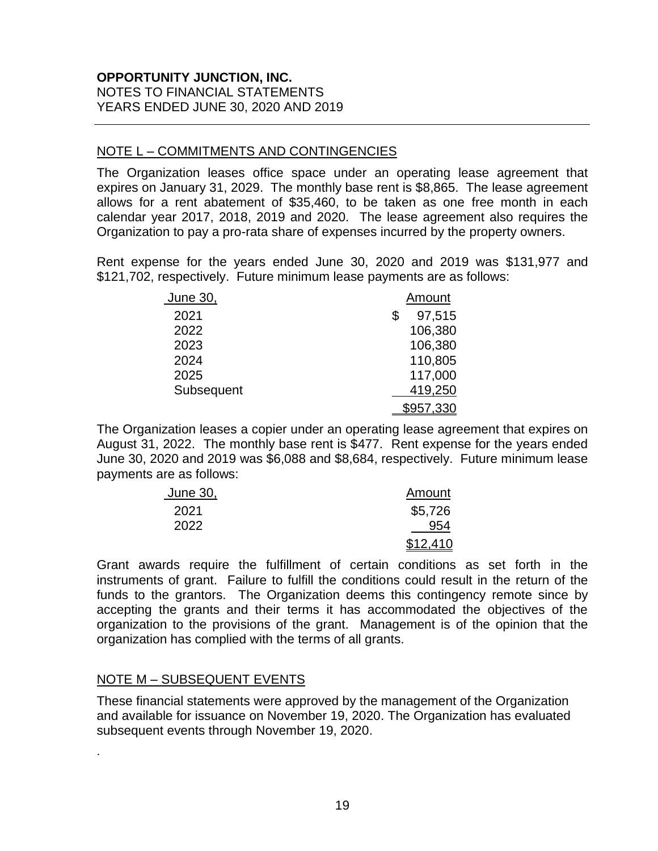#### NOTE L – COMMITMENTS AND CONTINGENCIES

The Organization leases office space under an operating lease agreement that expires on January 31, 2029. The monthly base rent is \$8,865. The lease agreement allows for a rent abatement of \$35,460, to be taken as one free month in each calendar year 2017, 2018, 2019 and 2020. The lease agreement also requires the Organization to pay a pro-rata share of expenses incurred by the property owners.

Rent expense for the years ended June 30, 2020 and 2019 was \$131,977 and \$121,702, respectively. Future minimum lease payments are as follows:

| June 30,   | Amount       |
|------------|--------------|
| 2021       | 97,515<br>\$ |
| 2022       | 106,380      |
| 2023       | 106,380      |
| 2024       | 110,805      |
| 2025       | 117,000      |
| Subsequent | 419,250      |
|            | \$957,330    |

The Organization leases a copier under an operating lease agreement that expires on August 31, 2022. The monthly base rent is \$477. Rent expense for the years ended June 30, 2020 and 2019 was \$6,088 and \$8,684, respectively. Future minimum lease payments are as follows:

| June 30, | Amount   |
|----------|----------|
| 2021     | \$5,726  |
| 2022     | 954      |
|          | \$12,410 |

Grant awards require the fulfillment of certain conditions as set forth in the instruments of grant. Failure to fulfill the conditions could result in the return of the funds to the grantors. The Organization deems this contingency remote since by accepting the grants and their terms it has accommodated the objectives of the organization to the provisions of the grant. Management is of the opinion that the organization has complied with the terms of all grants.

#### NOTE M – SUBSEQUENT EVENTS

.

These financial statements were approved by the management of the Organization and available for issuance on November 19, 2020. The Organization has evaluated subsequent events through November 19, 2020.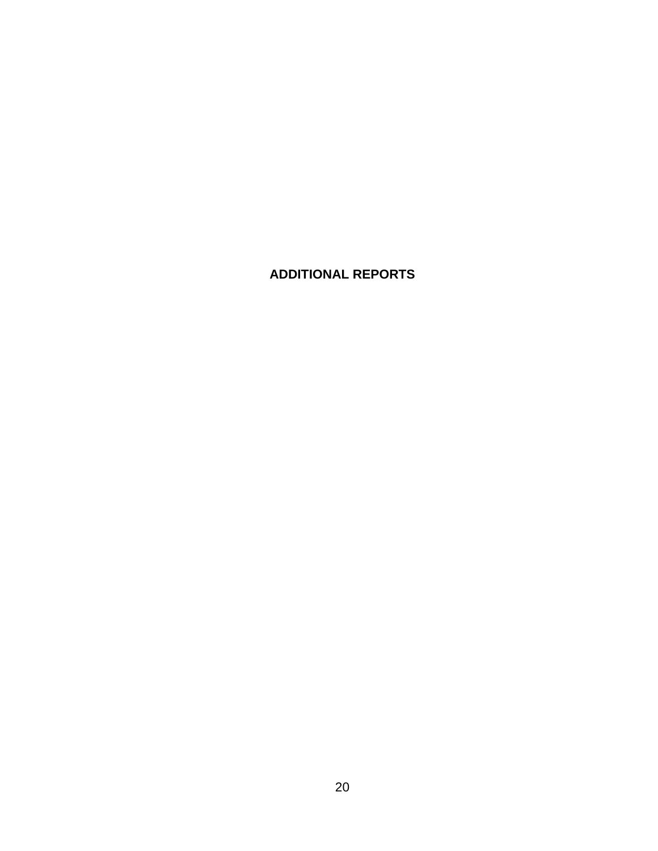# **ADDITIONAL REPORTS**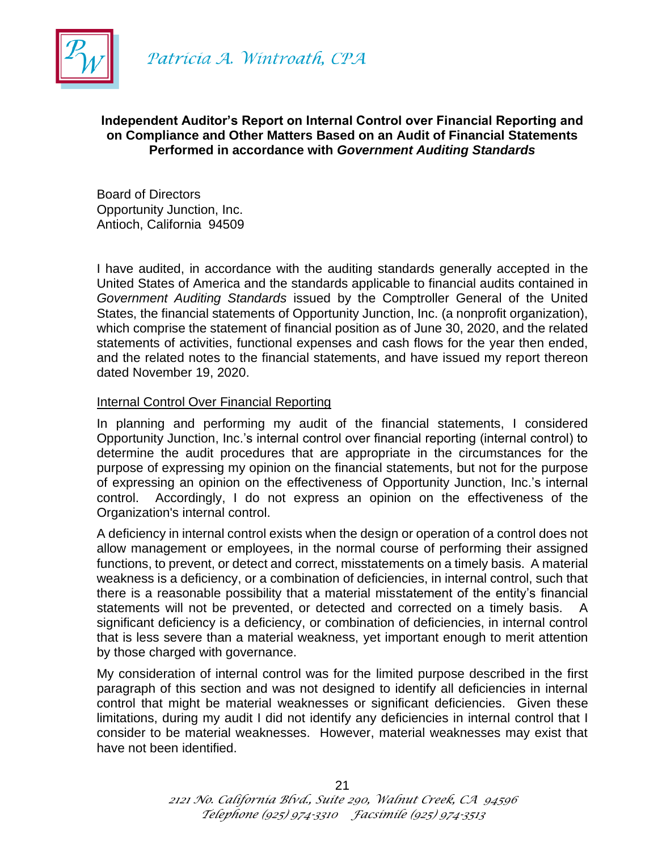

Patrícia A. Wintroath, CPA

#### **Independent Auditor's Report on Internal Control over Financial Reporting and on Compliance and Other Matters Based on an Audit of Financial Statements Performed in accordance with** *Government Auditing Standards*

Board of Directors Opportunity Junction, Inc. Antioch, California 94509

I have audited, in accordance with the auditing standards generally accepted in the United States of America and the standards applicable to financial audits contained in *Government Auditing Standards* issued by the Comptroller General of the United States, the financial statements of Opportunity Junction, Inc. (a nonprofit organization), which comprise the statement of financial position as of June 30, 2020, and the related statements of activities, functional expenses and cash flows for the year then ended, and the related notes to the financial statements, and have issued my report thereon dated November 19, 2020.

#### Internal Control Over Financial Reporting

In planning and performing my audit of the financial statements, I considered Opportunity Junction, Inc.'s internal control over financial reporting (internal control) to determine the audit procedures that are appropriate in the circumstances for the purpose of expressing my opinion on the financial statements, but not for the purpose of expressing an opinion on the effectiveness of Opportunity Junction, Inc.'s internal control. Accordingly, I do not express an opinion on the effectiveness of the Organization's internal control.

A deficiency in internal control exists when the design or operation of a control does not allow management or employees, in the normal course of performing their assigned functions, to prevent, or detect and correct, misstatements on a timely basis. A material weakness is a deficiency, or a combination of deficiencies, in internal control, such that there is a reasonable possibility that a material misstatement of the entity's financial statements will not be prevented, or detected and corrected on a timely basis. A significant deficiency is a deficiency, or combination of deficiencies, in internal control that is less severe than a material weakness, yet important enough to merit attention by those charged with governance.

My consideration of internal control was for the limited purpose described in the first paragraph of this section and was not designed to identify all deficiencies in internal control that might be material weaknesses or significant deficiencies. Given these limitations, during my audit I did not identify any deficiencies in internal control that I consider to be material weaknesses. However, material weaknesses may exist that have not been identified.

*2121 No. California Blvd., Suite 290, Walnut Creek, CA 94596 Telephone (925) 974-3310 Facsimile (925) 974-3513*